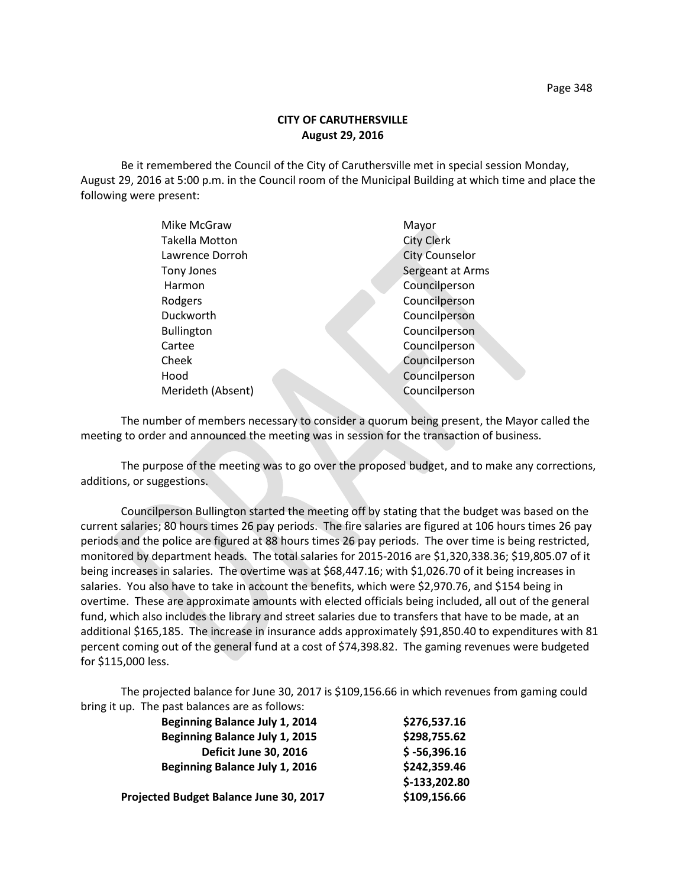## **CITY OF CARUTHERSVILLE August 29, 2016**

Be it remembered the Council of the City of Caruthersville met in special session Monday, August 29, 2016 at 5:00 p.m. in the Council room of the Municipal Building at which time and place the following were present:

| Mike McGraw       | Mayor                 |
|-------------------|-----------------------|
| Takella Motton    | <b>City Clerk</b>     |
| Lawrence Dorroh   | <b>City Counselor</b> |
| Tony Jones        | Sergeant at Arms      |
| Harmon            | Councilperson         |
| Rodgers           | Councilperson         |
| Duckworth         | Councilperson         |
| <b>Bullington</b> | Councilperson         |
| Cartee            | Councilperson         |
| Cheek             | Councilperson         |
| Hood              | Councilperson         |
| Merideth (Absent) | Councilperson         |
|                   |                       |

The number of members necessary to consider a quorum being present, the Mayor called the meeting to order and announced the meeting was in session for the transaction of business.

The purpose of the meeting was to go over the proposed budget, and to make any corrections, additions, or suggestions.

Councilperson Bullington started the meeting off by stating that the budget was based on the current salaries; 80 hours times 26 pay periods. The fire salaries are figured at 106 hours times 26 pay periods and the police are figured at 88 hours times 26 pay periods. The over time is being restricted, monitored by department heads. The total salaries for 2015-2016 are \$1,320,338.36; \$19,805.07 of it being increases in salaries. The overtime was at \$68,447.16; with \$1,026.70 of it being increases in salaries. You also have to take in account the benefits, which were \$2,970.76, and \$154 being in overtime. These are approximate amounts with elected officials being included, all out of the general fund, which also includes the library and street salaries due to transfers that have to be made, at an additional \$165,185. The increase in insurance adds approximately \$91,850.40 to expenditures with 81 percent coming out of the general fund at a cost of \$74,398.82. The gaming revenues were budgeted for \$115,000 less.

The projected balance for June 30, 2017 is \$109,156.66 in which revenues from gaming could bring it up. The past balances are as follows:

| \$276,537.16   |
|----------------|
| \$298,755.62   |
| $$ -56,396.16$ |
| \$242,359.46   |
| \$-133,202.80  |
| \$109,156.66   |
|                |